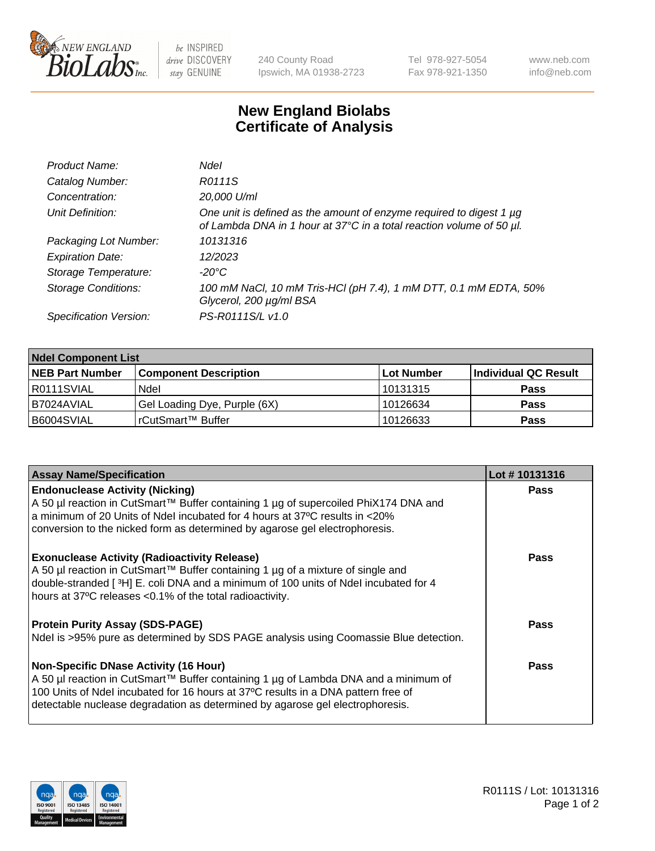

be INSPIRED drive DISCOVERY stay GENUINE

240 County Road Ipswich, MA 01938-2723 Tel 978-927-5054 Fax 978-921-1350 www.neb.com info@neb.com

## **New England Biolabs Certificate of Analysis**

| Product Name:              | Ndel                                                                                                                                             |
|----------------------------|--------------------------------------------------------------------------------------------------------------------------------------------------|
| Catalog Number:            | R0111S                                                                                                                                           |
| Concentration:             | 20,000 U/ml                                                                                                                                      |
| Unit Definition:           | One unit is defined as the amount of enzyme required to digest 1 $\mu$ g<br>of Lambda DNA in 1 hour at 37°C in a total reaction volume of 50 µl. |
| Packaging Lot Number:      | 10131316                                                                                                                                         |
| <b>Expiration Date:</b>    | 12/2023                                                                                                                                          |
| Storage Temperature:       | -20°C                                                                                                                                            |
| <b>Storage Conditions:</b> | 100 mM NaCl, 10 mM Tris-HCl (pH 7.4), 1 mM DTT, 0.1 mM EDTA, 50%<br>Glycerol, 200 µg/ml BSA                                                      |
| Specification Version:     | PS-R0111S/L v1.0                                                                                                                                 |

| <b>Ndel Component List</b> |                              |            |                      |  |  |
|----------------------------|------------------------------|------------|----------------------|--|--|
| <b>NEB Part Number</b>     | <b>Component Description</b> | Lot Number | Individual QC Result |  |  |
| R0111SVIAL                 | Ndel                         | 10131315   | <b>Pass</b>          |  |  |
| I B7024AVIAL               | Gel Loading Dye, Purple (6X) | 10126634   | <b>Pass</b>          |  |  |
| B6004SVIAL                 | rCutSmart™ Buffer            | 10126633   | <b>Pass</b>          |  |  |

| <b>Assay Name/Specification</b>                                                                                                                                          | Lot #10131316 |
|--------------------------------------------------------------------------------------------------------------------------------------------------------------------------|---------------|
| <b>Endonuclease Activity (Nicking)</b>                                                                                                                                   | <b>Pass</b>   |
| A 50 µl reaction in CutSmart™ Buffer containing 1 µg of supercoiled PhiX174 DNA and<br>a minimum of 20 Units of Ndel incubated for 4 hours at 37 °C results in <20%      |               |
| conversion to the nicked form as determined by agarose gel electrophoresis.                                                                                              |               |
| <b>Exonuclease Activity (Radioactivity Release)</b>                                                                                                                      | Pass          |
| A 50 µl reaction in CutSmart™ Buffer containing 1 µg of a mixture of single and<br>double-stranded [3H] E. coli DNA and a minimum of 100 units of Ndel incubated for 4   |               |
| hours at 37°C releases <0.1% of the total radioactivity.                                                                                                                 |               |
| <b>Protein Purity Assay (SDS-PAGE)</b>                                                                                                                                   | Pass          |
| Ndel is >95% pure as determined by SDS PAGE analysis using Coomassie Blue detection.                                                                                     |               |
| <b>Non-Specific DNase Activity (16 Hour)</b>                                                                                                                             | Pass          |
| A 50 µl reaction in CutSmart™ Buffer containing 1 µg of Lambda DNA and a minimum of<br>100 Units of Ndel incubated for 16 hours at 37°C results in a DNA pattern free of |               |
| detectable nuclease degradation as determined by agarose gel electrophoresis.                                                                                            |               |